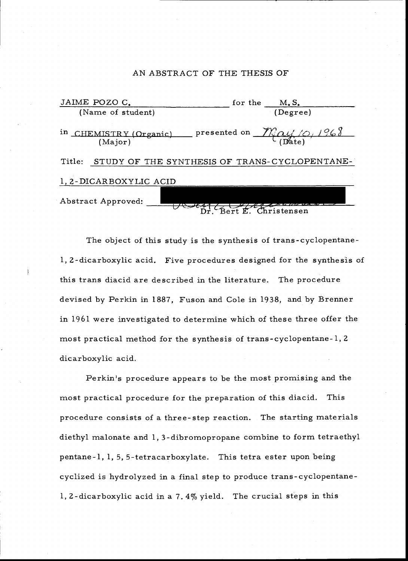#### AN ABSTRACT OF THE THESIS OF

| JAIME POZO C.                                           | for the M.S.                                       |
|---------------------------------------------------------|----------------------------------------------------|
| (Name of student)                                       | (Degree)                                           |
| in CHEMISTRY (Organic)<br>(Major)                       | presented on $\mathcal{M}_{(D4)}/\mathcal{O}/1968$ |
| Title:<br>STUDY OF THE SYNTHESIS OF TRANS-CYCLOPENTANE- |                                                    |
| 1, 2-DICARBOXYLIC ACID                                  |                                                    |
| Abstract Approved:                                      | Bert E. Christensen                                |

The object of this study is the synthesis of trans- cyclopentane-1, 2- dicarboxylic acid. Five procedures designed for the synthesis of this trans diacid are described in the literature. The procedure devised by Perkin in 1887, Fuson and Cole in 1938, and by Brenner in 1961 were investigated to determine which of these three offer the most practical method for the synthesis of trans - cyclopentane -1, <sup>2</sup> dicarboxylic acid.

Perkin's procedure appears to be the most promising and the most practical procedure for the preparation of this diacid. This procedure consists of a three -step reaction. The starting materials diethyl malonate and 1, 3- dibromopropane combine to form tetraethyl pentane -1, 1, 5, 5- tetracarboxylate. This tetra ester upon being cyclized is hydrolyzed in a final step to produce trans-cyclopentane-1, 2- dicarboxylic acid in a 7.4% yield. The crucial steps in this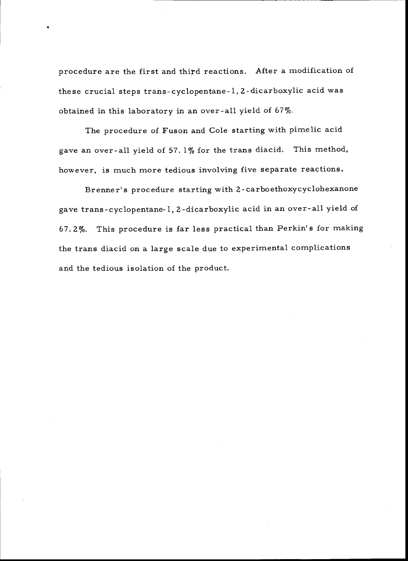procedure are the first and third reactions. After a modification of these crucial steps trans - cyclopentane -1, 2- dicarboxylic acid was obtained in this laboratory in an over-all yield of  $67\%$ .

The procedure of Fuson and Cole starting with pimelic acid gave an over -all yield of 57. 1% for the trans diacid. This method, however, is much more tedious involving five separate reactions.

Brenner's procedure starting with 2- carboethoxycyclohexanone gave trans - cyclopentane -1, 2- dicarboxylic acid in an over -all yield of 67. 2 %. This procedure is far less practical than Perkin's for making the trans diacid on a large scale due to experimental complications and the tedious isolation of the product.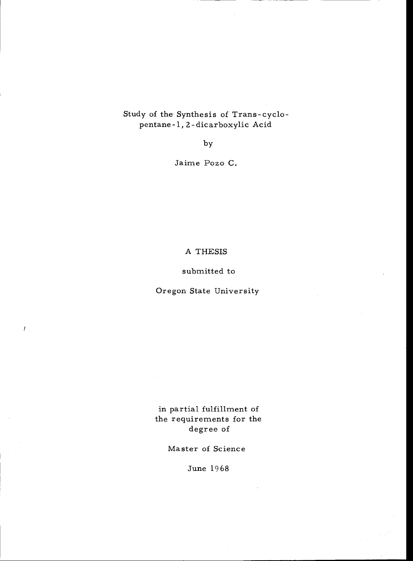# Study of the Synthesis of Trans- cyclopentane -1, 2 - dicarboxylic Acid

by

Jaime Pozo C.

A THESIS

submitted to

Oregon State University

 $\prime$ 

in partial fulfillment of the requirements for the degree of

Master of Science

June 1968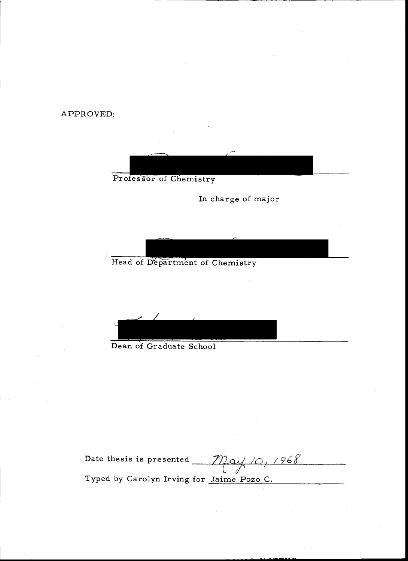APPROVED:



In charge of major

Head of Department of Chemistry

Dean of Graduate School

Date thesis is presented  $\text{M}\text{Q}$ Typed by Carolyn Irving for Jaime Pozo C.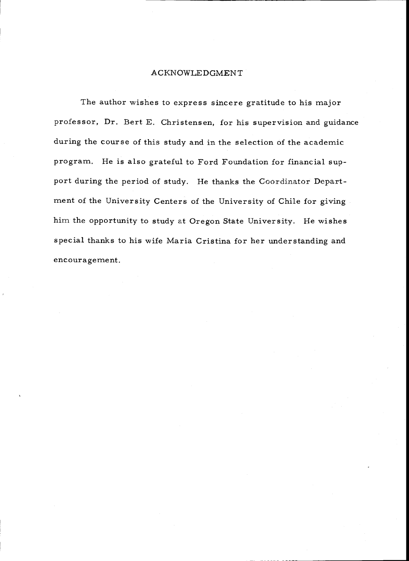#### ACKNOWLEDGMENT

The author wishes to express sincere gratitude to his major professor, Dr. Bert E. Christensen, for his supervision and guidance during the course of this study and in the selection of the academic program. He is also grateful to Ford Foundation for financial support during the period of study. He thanks the Coordinator Department of the University Centers of the University of Chile for giving him the opportunity to study at Oregon State University. He wishes special thanks to his wife Maria Cristina for her understanding and encouragement.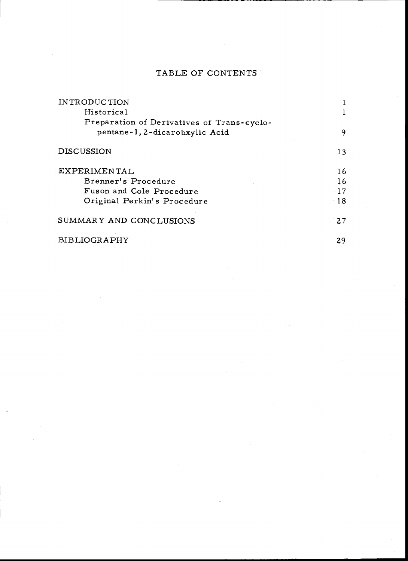# TABLE OF CONTENTS

| IN TRODUCTION                              |       |  |
|--------------------------------------------|-------|--|
| Historical                                 |       |  |
| Preparation of Derivatives of Trans-cyclo- |       |  |
| pentane-1, 2-dicarobxylic Acid             | 9     |  |
| <b>DISCUSSION</b>                          | 13    |  |
| EXPERIMENTAL                               | 16    |  |
| Brenner's Procedure                        | 16    |  |
| Fuson and Cole Procedure                   | $-17$ |  |
| Original Perkin's Procedure                | 18    |  |
| SUMMARY AND CONCLUSIONS                    | 27    |  |
| BIBLIOGRAPHY                               | 29    |  |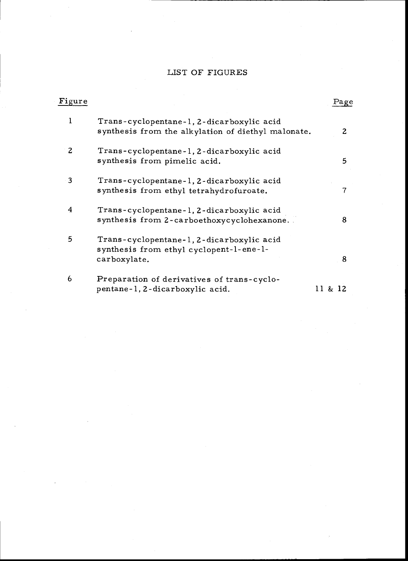# LIST OF FIGURES

| Figure |                                                                                                      | Page    |
|--------|------------------------------------------------------------------------------------------------------|---------|
| 1      | Trans-cyclopentane-1, 2-dicarboxylic acid<br>synthesis from the alkylation of diethyl malonate.      | 2.      |
| 2      | Trans-cyclopentane-1, 2-dicarboxylic acid<br>synthesis from pimelic acid.                            | 5       |
| 3      | Trans-cyclopentane-1, 2-dicarboxylic acid<br>synthesis from ethyl tetrahydrofuroate.                 | 7       |
| 4      | Trans-cyclopentane-1, 2-dicarboxylic acid<br>synthesis from 2-carboethoxycyclohexanone.              | 8       |
| 5      | Trans-cyclopentane-1, 2-dicarboxylic acid<br>synthesis from ethyl cyclopent-l-ene-l-<br>carboxylate. | 8       |
| 6      | Preparation of derivatives of trans-cyclo-<br>pentane-1, 2-dicarboxylic acid.                        | 11 & 12 |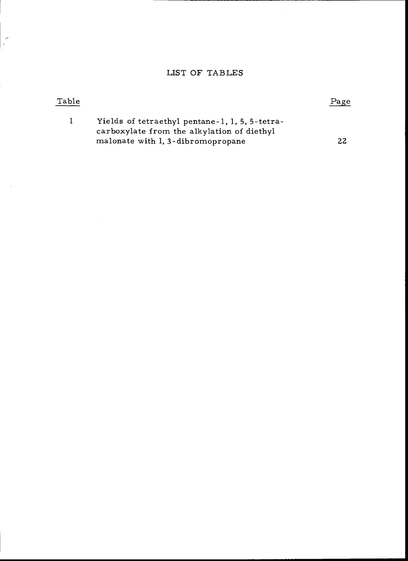# LIST OF TABLES

# Table Page

1 Yields of tetraethyl pentane -1, 1, 5, 5- tetracarboxylate from the alkylation of diethyl malonate with 1, 3-dibromopropane 22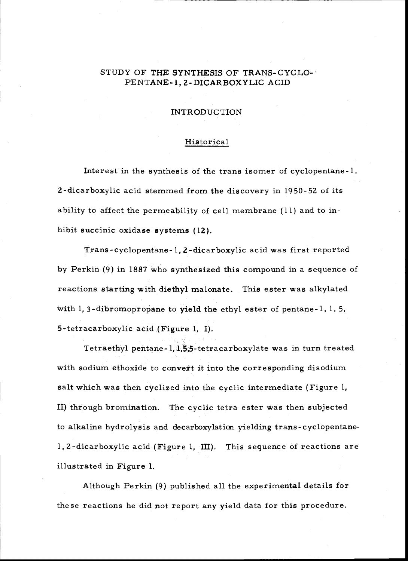# STUDY OF THE SYNTHESIS OF TRANS-CYCLO-PENTANE -1, 2- DICARBOXYLIC ACID

#### INTRODUCTION

#### Historical

Interest in the synthesis of the trans isomer of cyclopentane -1, 2- dicarboxylic acid stemmed from the discovery in 1950 -52 of its ability to affect the permeability of cell membrane (11) and to inhibit succinic oxidase systems (12).

Trans - cyclopentane -1, 2- dicarboxylic acid was first reported by Perkin (9) in 1887 who synthesized this compound in a sequence of reactions starting with diethyl malonate. This ester was alkylated with 1, 3-dibromopropane to yield the ethyl ester of pentane-1, 1, 5, 5- tetracarboxylic acid (Figure 1, I).

Tetraethyl pentane -1, 1,5,5- tetracarboxylate was in turn treated with sodium ethoxide to convert it into the corresponding disodium salt which was then cyclized into the cyclic intermediate (Figure 1, II) through bromination. The cyclic tetra ester was then subjected to alkaline hydrolysis and decarboxylation yielding trans- cyclopentane-1, 2- dicarboxylic acid (Figure 1, III). This sequence of reactions are illustrated in Figure 1.

Although Perkin (9) published all the experimental details for these reactions he did not report any yield data for this procedure.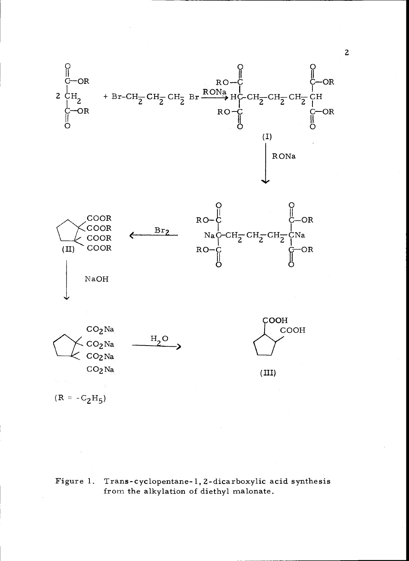

 $(R = -C_2H_5)$ 

Figure 1. Trans-cyclopentane-1, 2-dicarboxylic acid synthesis from the alkylation of diethyl malonate.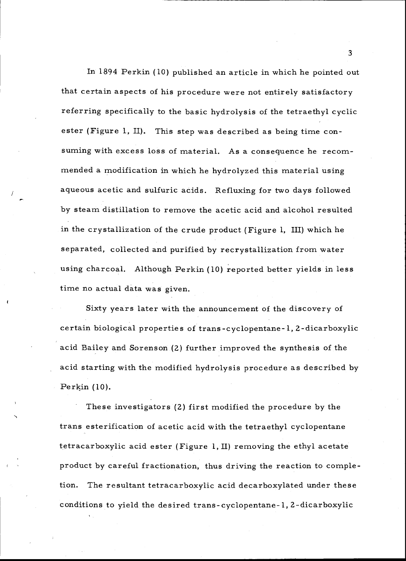In 1894 Perkin (10) published an article in which he pointed out that certain aspects of his procedure were not entirely satisfactory referring specifically to the basic hydrolysis of the tetraethyl cyclic ester (Figure 1, II). This step was described as being time consuming with excess loss of material. As a consequence he recommended a modification in which he hydrolyzed this material using aqueous acetic and sulfuric acids. Refluxing for two days followed by steam distillation to remove the acetic acid and alcohol resulted in the crystallization of the crude product (Figure 1, III) which he separated, collected and purified by recrystallization from water using charcoal. Although Perkin (10) reported better yields in less time no actual data was given.

Sixty years later with the announcement of the discovery of certain biological properties of trans - cyclopentane -1, 2- dicarboxylic acid Bailey and Sorenson (2) further improved the synthesis of the acid starting with the modified hydrolysis procedure as described by Perkin (10).

These investigators (2) first modified the procedure by the trans esterification of acetic acid with the tetraethyl cyclopentane tetracarboxylic acid ester (Figure 1, II) removing the ethyl acetate product by careful fractionation, thus driving the reaction to completion. The resultant tetracarboxylic acid decarboxylated under these conditions to yield the desired trans - cyclopentane -1, 2- dicarboxylic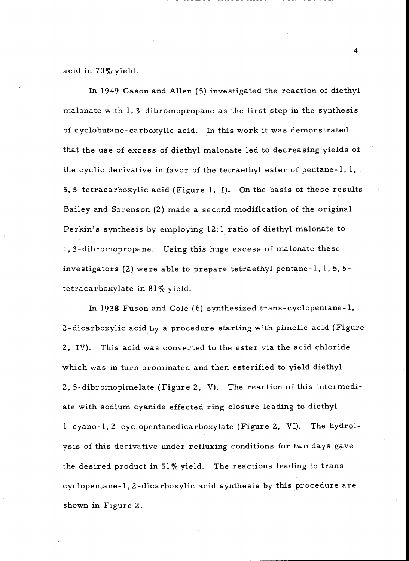acid in 70% yield.

In 1949 Cason and Allen (5) investigated the reaction of diethyl malonate with 1, 3- dibromopropane as the first step in the synthesis of cyclobutane- carboxylic acid. In this work it was demonstrated that the use of excess of diethyl malonate led to decreasing yields of the cyclic derivative in favor of the tetraethyl ester of pentane-1,  $1,$ 5, 5- tetracarboxylic acid (Figure 1, I). On the basis of these results Bailey and Sorenson (2) made a second modification of the original Perkin's synthesis by employing 12:1 ratio of diethyl malonate to 1, 3- dibromopropane. Using this huge excess of malonate these investigators (2) were able to prepare tetraethyl pentane -1, 1, 5, 5 tetracarboxylate in 81% yield.

In 1938 Fuson and Cole (6) synthesized trans - cyclopentane -1, 2- dicarboxylic acid by a procedure starting with pimelic acid (Figure 2, IV). This acid was converted to the ester via the acid chloride which was in turn brominated and then esterified to yield diethyl 2, 5- dibromopimelate (Figure 2, V). The reaction of this intermediate with sodium cyanide effected ring closure leading to diethyl 1- cyano -1, 2- cyclopentanedicarboxylate (Figure 2, VI). The hydrolysis of this derivative under refluxing conditions for two days gave the desired product in 51% yield. The reactions leading to trans cyclopentane -1, 2- dicarboxylic acid synthesis by this procedure are shown in Figure 2.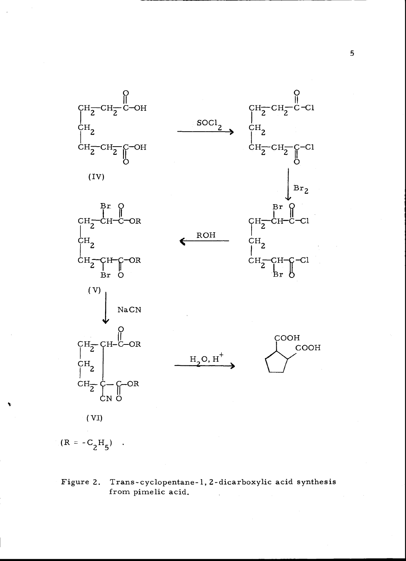



# Figure 2. Trans - cyclopentane -1, 2- dicarboxylic acid synthesis from pimelic acid.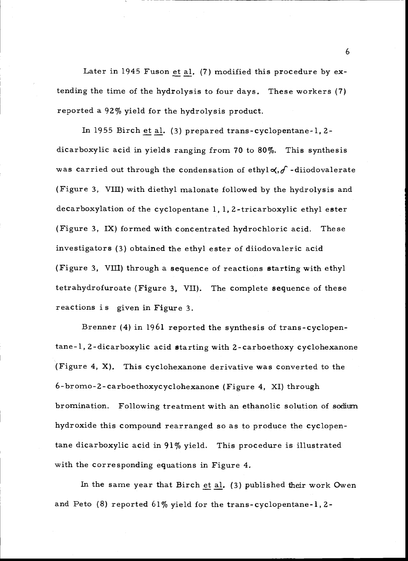Later in 1945 Fuson et al. (7) modified this procedure by extending the time of the hydrolysis to four days. These workers (7) reported a 92% yield for the hydrolysis product.

In 1955 Birch et al. (3) prepared trans - cyclopentane -1, 2 dicarboxylic acid in yields ranging from 70 to 80%. This synthesis was carried out through the condensation of ethyl $\alpha$ ,  $\delta$  -diiodovalerate (Figure 3, VIII) with diethyl malonate followed by the hydrolysis and decarboxylation of the cyclopentane 1, 1, 2- tricarboxylic ethyl ester (Figure 3, IX) formed with concentrated hydrochloric acid. These investigators (3) obtained the ethyl ester of diiodovaleric acid (Figure 3, VIII) through a sequence of reactions starting with ethyl tetrahydrofuroate (Figure 3, VII). The complete sequence of these reactions is given in Figure 3.

Brenner (4) in 1961 reported the synthesis of trans-cyclopentane-1,2-dicarboxylic acid starting with 2- carboethoxy cyclohexanone (Figure 4, X). This cyclohexanone derivative was converted to the 6- bromo -2- carboethoxycyclohexanone (Figure 4, XI) through bromination. Following treatment with an ethanolic solution of sodium hydroxide this compound rearranged so as to produce the cyclopentane dicarboxylic acid in 91% yield. This procedure is illustrated with the corresponding equations in Figure 4.

In the same year that Birch et al. (3) published their work Owen and Peto  $(8)$  reported  $61\%$  yield for the trans-cyclopentane-1, 2-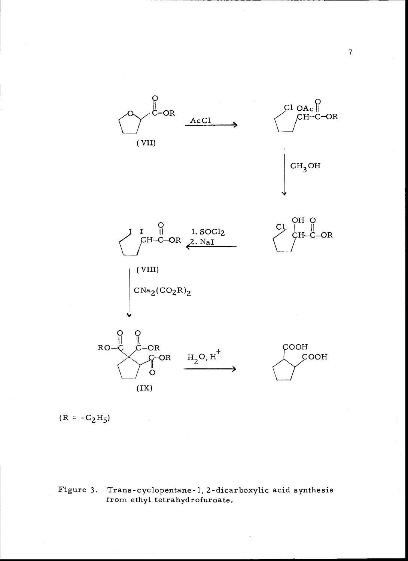



Figure 3. Trans-cyclopentane-1, 2-dicarboxylic acid synthesis from ethyl tetrahydrofuroate.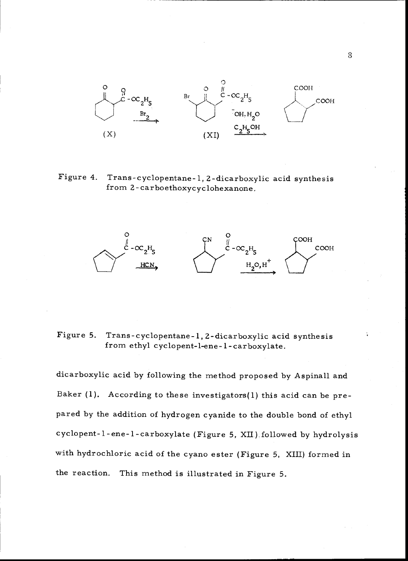

Figure 4. Trans-cyclopentane-1, 2-dicarboxylic acid synthesis from 2-carboethoxycyclohexanone.



# Figure 5. Trans-cyclopentane-1, 2-dicarboxylic acid synthesis<br>from ethyl cyclopent-l-ene-1-carboxylate.

dicarboxylic acid by following the method proposed by Aspinall and Baker (1). According to these investigators(1) this acid can be prepared by the addition of hydrogen cyanide to the double bond of ethyl cyclopent-1-ene-1-carboxylate (Figure 5, XII) followed by hydrolysis with hydrochloric acid of the cyano ester (Figure 5, XIII) formed in the reaction. This method is illustrated in Figure 5.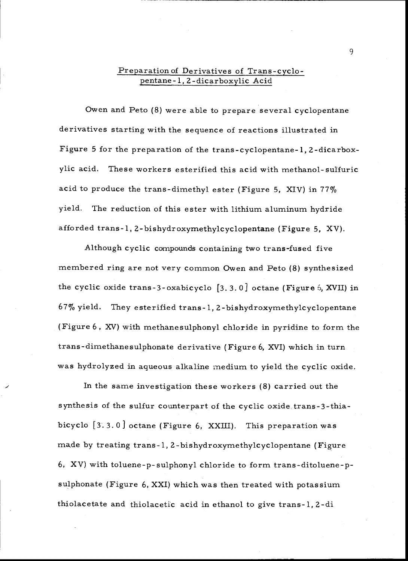# Preparation of Derivatives of Trans-cyclopentane -1, 2- dicarboxylic Acid

Owen and Peto (8) were able to prepare several cyclopentane derivatives starting with the sequence of reactions illustrated in Figure 5 for the preparation of the trans - cyclopentane -1, 2- dicarboxylic acid. These workers esterified this acid with methanol- sulfuric acid to produce the trans-dimethyl ester (Figure 5, XIV) in  $77\%$ yield. The reduction of this ester with lithium aluminum hydride afforded trans -1, 2- bishydroxymethylcyclopentane (Figure 5, XV).

Although cyclic compounds containing two trans -fused five membered ring are not very common Owen and Peto (8) synthesized the cyclic oxide trans-3-oxabicyclo  $[3, 3, 0]$  octane (Figure 5, XVII) in 67% yield. They esterified trans -1, 2- bishydroxymethylcyclopentane (Figure <sup>6</sup>, XV) with methanesulphonyl chloride in pyridine to form the trans -dimethanesulphonate derivative (Figure 6, XVI) which in turn was hydrolyzed in aqueous alkaline medium to yield the cyclic oxide.

In the same investigation these workers (8) carried out the synthesis of the sulfur counterpart of the cyclic oxide. trans -3 -thiabicyclo {3. 3. 0 ] octane (Figure 6, XXIII). This preparation was made by treating trans -1, 2- bishydroxymethylcyclopentane (Figure 6, XV) with toluene -p- sulphonyl chloride to form trans- ditoluene -psulphonate (Figure 6, XXI) which was then treated with potassium thiolacetate and thiolacetic acid in ethanol to give trans -1, 2 -di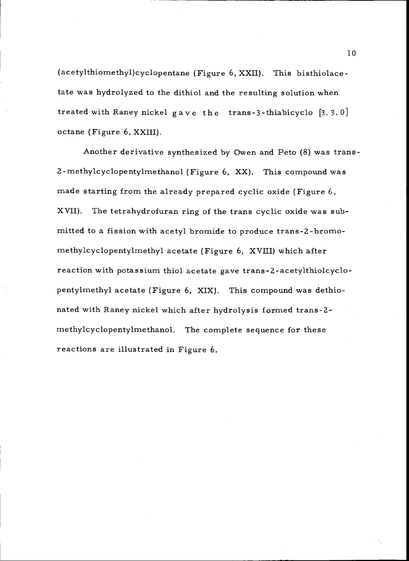(acetylthiomethyl)cyclopentane (Figure 6, XXII). This bisthiolacetate was hydrolyzed to the dithiol and the resulting solution when treated with Raney nickel gave the trans -3- thiabicyclo [3. 3. 0] octane (Figure 6, XXIII).

Another derivative synthesized by Owen and Peto (8) was trans - 2- methylcyclopentylmethanol (Figure 6, XX). This compound was made starting from the already prepared cyclic oxide (Figure  $6$ , XVII). The tetrahydrofuran ring of the trans cyclic oxide was submitted to a fission with acetyl bromide to produce trans-2- bromomethylcyclopentylmethyl acetate (Figure 6, XVIII) which after reaction with potassium thiol acetate gave trans -2- acetylthiolcyclopentylmethyl acetate (Figure 6, XIX). This compound was dethionated with Raney nickel which after hydrolysis formed trans -2 methylcyclopentylmethanol. The complete sequence for these reactions are illustrated in Figure 6.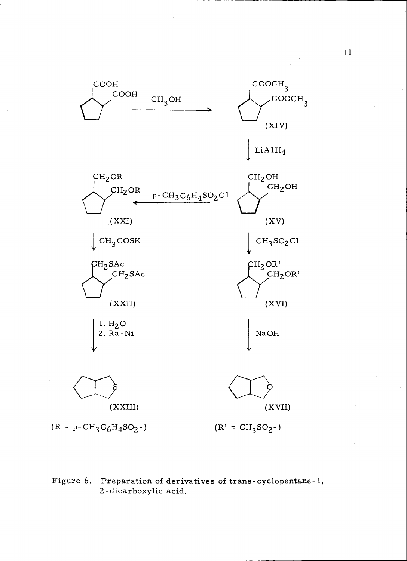

Figure 6. Preparation of derivatives of trans - cyclopentane -1, <sup>2</sup>-dicarboxylic acid.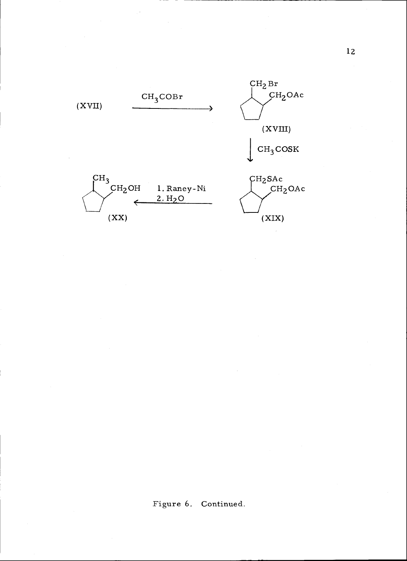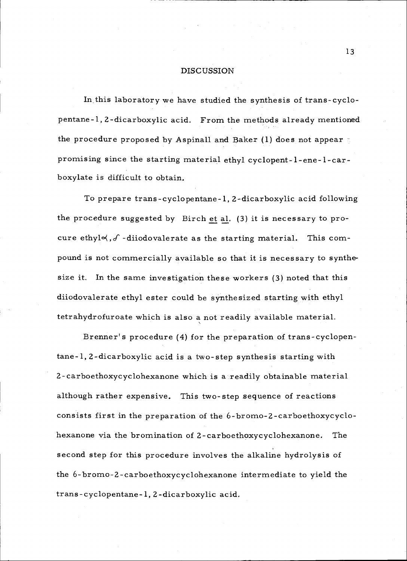#### **DISCUSSION**

In this laboratory we have studied the synthesis of trans- cyclopentane -1, 2- dicarboxylic acid. From the methods already mentioned the procedure proposed by Aspinall and Baker (1) does not appear promising since the starting material ethyl cyclopent-l-ene-l-carboxylate is difficult to obtain.

To prepare trans -cyclopentane -1, 2- dicarboxylic acid following the procedure suggested by Birch et al. (3) it is necessary to procure ethyl $\prec$ ,  $\delta$  -diiodovalerate as the starting material. This compound is not commercially available so that it is necessary to synthesize it. In the same investigation these workers (3) noted that this diiodovalerate ethyl ester could be synthesized starting with ethyl tetrahydrofuroate which is also a not readily available material.

Brenner's procedure (4) for the preparation of trans- cyclopentane-1, 2- dicarboxylic acid is a two -step synthesis starting with 2- carboethoxycyclohexanone which is a readily obtainable material although rather expensive. This two-step sequence of reactions consists first in the preparation of the 6-bromo-2-carboethoxycyclohexanone via the bromination of 2- carboethoxycyclohexanone. The second step for this procedure involves the alkaline hydrolysis of the 6-bromo-2-carboethoxycyclohexanone intermediate to yield the trans - cyclopentane -1, 2- dicarboxylic acid.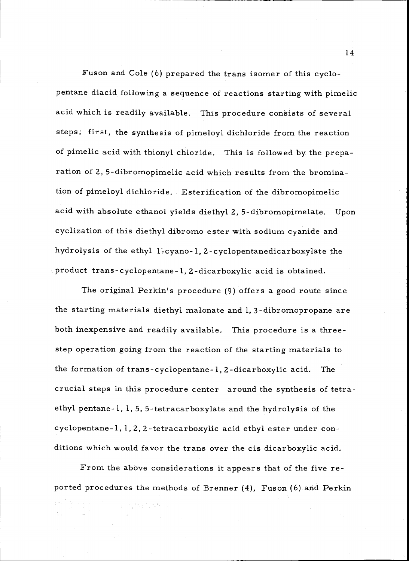Fuson and Cole (6) prepared the trans isomer of this cyclopentane diacid following a sequence of reactions starting with pimelic acid which is readily available. This procedure consists of several steps; first, the synthesis of pimeloyl dichloride from the reaction of pimelic acid with thionyl chloride. This is followed by the preparation of 2, 5- dibromopimelic acid which results from the bromination of pimeloyl dichloride. Esterification of the dibromopimelic acid with absolute ethanol yields diethyl 2, 5- dibromopimelate. Upon cyclization of this diethyl dibromo ester with sodium cyanide and hydrolysis of the ethyl 1-cyano-1, 2-cyclopentanedicarboxylate the product trans - cyclopentane -1, 2- dicarboxylic acid is obtained.

The original Perkin's procedure (9) offers a good route since the starting materials diethyl malonate and 1, 3- dibromopropane are both inexpensive and readily available. This procedure is a three step operation going from the reaction of the starting materials to the formation of trans - cyclopentane -1, 2- dicarboxylic acid. The crucial steps in this procedure center around the synthesis of tetraethyl pentane -1, 1, 5, 5- tetracarboxylate and the hydrolysis of the cyclopentane -1, 1, 2, 2- tetracarboxylic acid ethyl ester under conditions which would favor the trans over the cis dicarboxylic acid.

From the above considerations it appears that of the five reported procedures the methods of Brenner (4), Fuson (6) and Perkin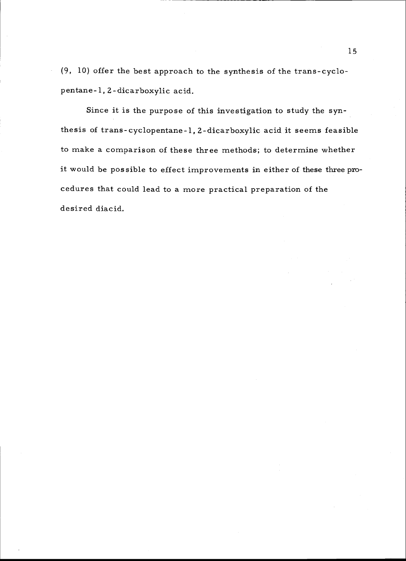(9, 10) offer the best approach to the synthesis of the trans- cyclopentane -1, 2 - dicarboxylic acid.

Since it is the purpose of this investigation to study the synthesis of trans - cyclopentane -1, 2- dicarboxylic acid it seems feasible to make a comparison of these three methods; to determine whether it would be possible to effect improvements in either of these three procedures that could lead to a more practical preparation of the desired diacid.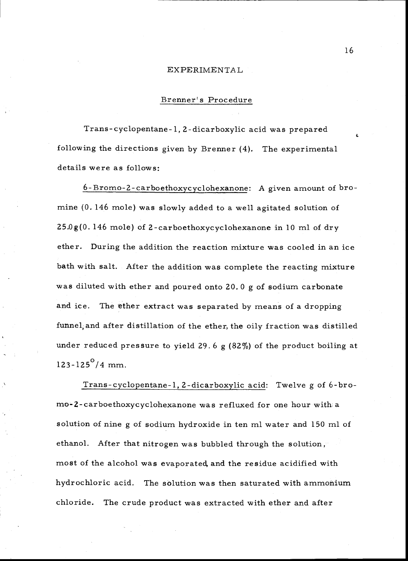### EXPERIMENTAL

# Brenner's Procedure

Trans - cyclopentane -1, 2- dicarboxylic acid was prepared following the directions given by Brenner (4). The experimental details were as follows:

6- Bromo -2- carboethoxycyclohexanone: A given amount of bromine (0.146 mole) was slowly added to a well agitated solution of 25.Og(0. 146 mole) of 2- carboethoxycyclohexanone in 10 ml of dry ether. During the addition the reaction mixture was cooled in an ice bath with salt. After the addition was complete the reacting mixture was diluted with ether and poured onto 20.0 g of sodium carbonate and ice. The ether extract was separated by means of a dropping funnel; and after distillation of the ether, the oily fraction was distilled under reduced pressure to yield 29.6  $g$  (82%) of the product boiling at  $123 - 125^\circ/4$  mm.

Trans - cyclopentane -1, 2- dicarboxylic acid: Twelve g of 6 -bromo-2- carboethoxycyclohexanone was refluxed for one hour with a solution of nine g of sodium hydroxide in ten ml water and 150 ml of ethanol. After that nitrogen was bubbled through the solution, most of the alcohol was evaporated, and the residue acidified with hydrochloric acid. The solution was then saturated with ammonium chloride. The crude product was extracted with ether and after

a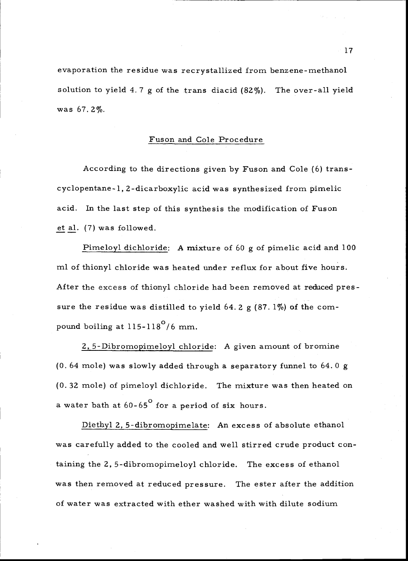evaporation the residue was recrystallized from benzene - methanol solution to yield 4.7 g of the trans diacid  $(82\%)$ . The over-all yield was 67.2%.

# Fuson and Cole Procedure

According to the directions given by Fuson and Cole (6) trans cyclopentane-1, 2- dicarboxylic acid was synthesized from pimelic acid. In the last step of this synthesis the modification of Fuson et al. (7) was followed.

Pimeloyl dichloride: A mixture of 60 g of pimelic acid and 100 ml of thionyl chloride was heated under reflux for about five hours. After the excess of thionyl chloride had been removed at reduced pressure the residue was distilled to yield 64.2  $g$  (87.1%) of the compound boiling at  $115 - 118^{\circ}/6$  mm.

2, 5- Dibromopimeloyl chloride: A given amount of bromine (0. 64 mole) was slowly added through a separatory funnel to 64.0 <sup>g</sup> (0.32 mole) of pimeloyl dichloride. The mixture was then heated on a water bath at  $60-65^{\circ}$  for a period of six hours.

Diethyl 2, 5- dibromopimelate: An excess of absolute ethanol was carefully added to the cooled and well stirred crude product containing the 2, 5- dibromopimeloyl chloride. The excess of ethanol was then removed at reduced pressure. The ester after the addition of water was extracted with ether washed with with dilute sodium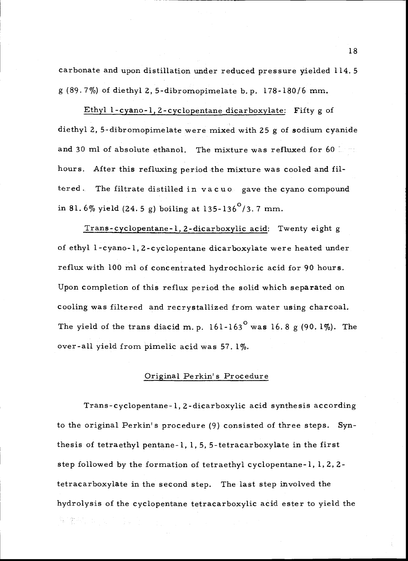carbonate and upon distillation under reduced pressure yielded 114.5 <sup>g</sup>(89. 7 %) of diethyl 2, 5- dibromopimelate b. p. 178 -180/6 mm.

Ethyl 1- cyano -1, 2- cyclopentane dicarboxylate: Fifty g of diethyl 2, 5- dibromopimelate were mixed with 25 g of sodium cyanide and 30 ml of absolute ethanol. The mixture was refluxed for 60 mm. hours. After this refluxing period the mixture was cooled and filtered. The filtrate distilled in vacuo gave the cyano compound in 81.6% yield  $(24.5 g)$  boiling at 135-136<sup>°</sup>/3.7 mm.

Trans - cyclopentane -1, 2- dicarboxylic acid: Twenty eight <sup>g</sup> of ethyl 1-cyano-1, 2-cyclopentane dicarboxylate were heated under reflux with 100 ml of concentrated hydrochloric acid for 90 hours. Upon completion of this reflux period the solid which separated on cooling was filtered and recrystallized from water using charcoal. The yield of the trans diacid m. p. 161-163<sup>°</sup> was 16.8 g (90.1%). The over-all yield from pimelic acid was 57.1%.

# Original Perkin's Procedure

Trans - cyclopentane -1, 2- dicarboxylic acid synthesis according to the original Perkin's procedure (9) consisted of three steps. Synthesis of tetraethyl pentane -1, 1, 5, 5- tetracarboxylate in the first step followed by the formation of tetraethyl cyclopentane-1,1,2,2 tetracarboxylate in the second step. The last step involved the hydrolysis of the cyclopentane tetracarboxylic acid ester to yield the 解激动 电图 "我们"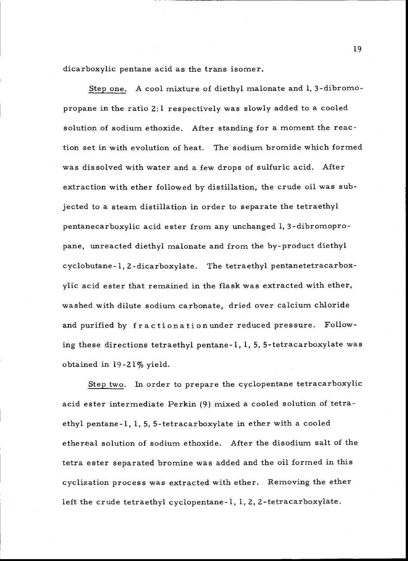dicarboxylic pentane acid as the trans isomer.

Step one. A cool mixture of diethyl malonate and 1, 3- dibromopropane in the ratio  $2:1$  respectively was slowly added to a cooled solution of sodium ethoxide. After standing for a moment the reaction set in with evolution of heat. The sodium bromide which formed was dissolved with water and a few drops of sulfuric acid. After extraction with ether followed by distillation, the crude oil was subjected to a steam distillation in order to separate the tetraethyl pentanecarboxylic acid ester from any unchanged 1, 3- dibromopropane, unreacted diethyl malonate and from the by- product diethyl cyclobutane-1, 2-dicarboxylate. The tetraethyl pentanetetracarboxylic acid ester that remained in the flask was extracted with ether, washed with dilute sodium carbonate, dried over calcium chloride and purified by fractionation under reduced pressure. Following these directions tetraethyl pentane -1, 1, 5, 5- tetracarboxylate was obtained in 19 -21% yield.

Step two. In order to prepare the cyclopentane tetracarboxylic acid ester intermediate Perkin (9) mixed a cooled solution of tetraethyl pentane -1, 1, 5, 5- tetracarboxylate in ether with a cooled ethereal solution of sodium ethoxide. After the disodium salt of the tetra ester separated bromine was added and the oil formed in this cyclization process was extracted with ether. Removing the ether left the crude tetraethyl cyclopentane -1, 1, 2, 2- tetracarboxylate.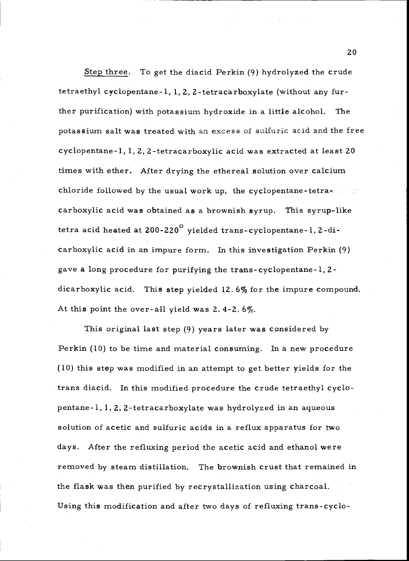Step three. To get the diacid Perkin (9) hydrolyzed the crude tetraethyl cyclopentane -1, 1, 2, 2- tetracarboxylate (without any further purification) with potassium hydroxide in a little alcohol. The potassium salt was treated with an excess of sulfuric acid and the free cyclopentane -1, 1, 2, 2- tetracarboxylic acid was extracted at least 20 times with ether. After drying the ethereal solution over calcium chloride followed by the usual work up, the cyclopentane-tetra- $\mathbb{R}^n$ carboxylic acid was obtained as a brownish syrup. This syrup-like tetra acid heated at  $200 - 220^{\circ}$  yielded trans-cyclopentane-1, 2-dicarboxylic acid in an impure form. In this investigation Perkin (9) gave a long procedure for purifying the trans - cyclopentane -1, 2 dicarboxylic acid. This step yielded 12. 6% for the impure compound. At this point the over -all yield was 2. 4 -2. <sup>6</sup>%.

This original last step (9) years later was considered by Perkin (10) to be time and material consuming. In a new procedure (10) this step was modified in an attempt to get better yields for the trans diacid. In this modified procedure the crude tetraethyl cyclopentane -1, 1, 2, 2- tetracarboxylate was hydrolyzed in an aqueous solution of acetic and sulfuric acids in a reflux apparatus for two days. After the refluxing period the acetic acid and ethanol were removed by steam distillation. The brownish crust that remained in the flask was then purified by recrystallization using charcoal. Using this modification and after two days of refluxing trans - cyclo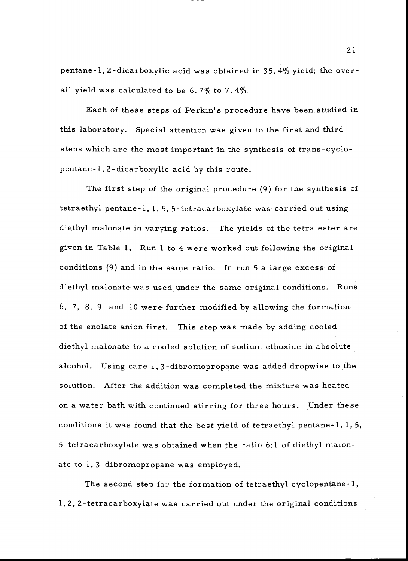pentane -1, 2- dicarboxylic acid was obtained in 35. 4% yield; the overall yield was calculated to be 6.7% to 7.4%.

Each of these steps of Perkin's procedure have been studied in this laboratory. Special attention was given to the first and third steps which are the most important in the synthesis of trans- cyclopentane -1, 2- dicarboxylic acid by this route.

The first step of the original procedure (9) for the synthesis of tetraethyl pentane -1, 1, 5, 5- tetracarboxylate was carried out using diethyl malonate in varying ratios. The yields of the tetra ester are given in Table 1. Run 1 to 4 were worked out following the original conditions (9) and in the same ratio. In run 5 a large excess of diethyl malonate was used under the same original conditions. Runs 6, 7, 8, 9 and 10 were further modified by allowing the formation of the enolate anion first. This step was made by adding cooled diethyl malonate to a cooled solution of sodium ethoxide in absolute alcohol. Using care 1, 3- dibromopropane was added dropwise to the solution. After the addition was completed the mixture was heated on a water bath with continued stirring for three hours. Under these conditions it was found that the best yield of tetraethyl pentane-1,  $l$ ,  $5$ , 5- tetracarboxylate was obtained when the ratio 6:1 of diethyl malonate to 1, 3- dibromopropane was employed.

The second step for the formation of tetraethyl cyclopentane -1, 1, 2, 2- tetracarboxylate was carried out under the original conditions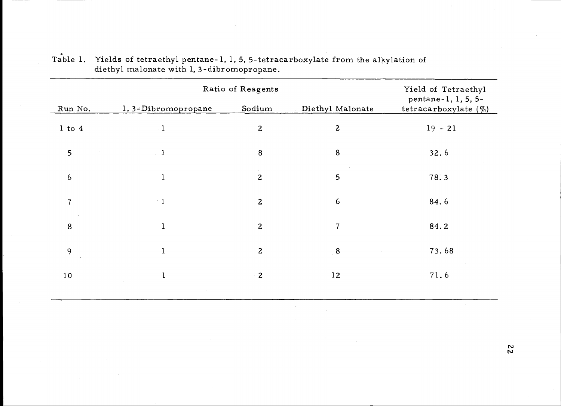|                | Ratio of Reagents   |                |                  | Yield of Tetraethyl                          |  |
|----------------|---------------------|----------------|------------------|----------------------------------------------|--|
| Run No.        | 1, 3-Dibromopropane | Sodium         | Diethyl Malonate | pentane-1, 1, 5, 5-<br>tetracarboxylate $(%$ |  |
| $1$ to $4$     |                     | $\overline{2}$ | $\mathbf{2}$     | $19 - 21$                                    |  |
| 5              | $\bf{l}$            | $\bf 8$        | $\bf 8$          | 32.6                                         |  |
| 6              | 1                   | $\overline{2}$ | 5                | 78.3                                         |  |
| $\overline{7}$ | $\blacksquare$      | $\overline{c}$ | $\boldsymbol{6}$ | 84.6                                         |  |
| 8              |                     | $\overline{2}$ | $\overline{7}$   | 84.2                                         |  |
| 9              |                     | $\overline{2}$ | $\bf 8$          | 73.68                                        |  |
| 10             |                     | $\overline{2}$ | 12               | 71.6                                         |  |
|                |                     |                |                  |                                              |  |

| Table 1. Yields of tetraethyl pentane-1, 1, 5, 5-tetracarboxylate from the alkylation of |  |
|------------------------------------------------------------------------------------------|--|
| diethyl malonate with 1, 3-dibromopropane.                                               |  |

 $\frac{2}{2}$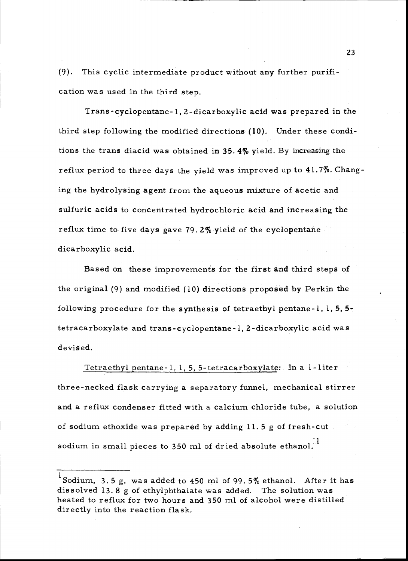(9). This cyclic intermediate product without any further purification was used in the third step.

Trans - cyclopentane -1, 2- dicarboxylic acid was prepared in the third step following the modified directions (10). Under these conditions the trans diacid was obtained in 35. 4% yield. By increasing the reflux period to three days the yield was improved up to 41.7%. Changing the hydrolysing agent from the aqueous mixture of acetic and sulfuric acids to concentrated hydrochloric acid and increasing the reflux time to five days gave 79.2% yield of the cyclopentane dicarboxylic acid.

Based on these improvements for the first and third steps of the original (9) and modified (10) directions proposed by Perkin the following procedure for the synthesis of tetraethyl pentane-1,  $1, 5, 5$ tetracarboxylate and trans - cyclopentane -1, 2- dicarboxylic acid was devised.

Tetraethyl pentane -1, 1, 5, 5- tetracarboxylate: In a 1 -liter three - necked flask carrying a separatory funnel, mechanical stirrer and a reflux condenser fitted with a calcium chloride tube, a solution of sodium ethoxide was prepared by adding 11.5 g of fresh-cut sodium in small pieces to 350 ml of dried absolute ethanol.<sup>1</sup>

<sup>1</sup>Sodium, 3. 5 g, was added to 450 ml of 99. 5% ethanol. After it has dissolved 13. 8 g of ethylphthalate was added. The solution was heated to reflux for two hours and 350 ml of alcohol were distilled directly into the reaction flask.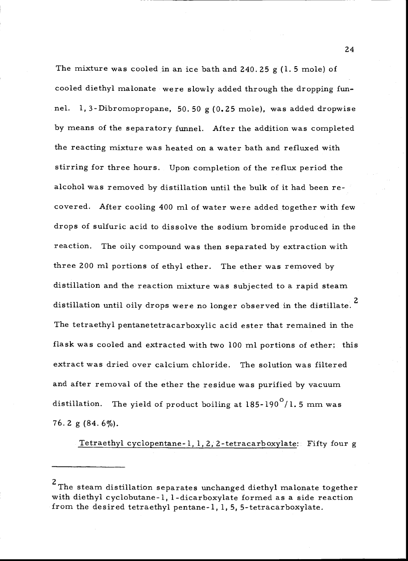The mixture was cooled in an ice bath and  $240.25$  g (1.5 mole) of cooled diethyl malonate were slowly added through the dropping funnel. 1, 3- Dibromopropane, 50. 50 g (0.25 mole), was added dropwise by means of the separatory funnel. After the addition was completed the reacting mixture was heated on a water bath and refluxed with stirring for three hours. Upon completion of the reflux period the alcohol was removed by distillation until the bulk of it had been recovered. After cooling 400 ml of water were added together with few drops of sulfuric acid to dissolve the sodium bromide produced in the reaction. The oily compound was then separated by extraction with three 200 ml portions of ethyl ether. The ether was removed by distillation and the reaction mixture was subjected to a rapid steam distillation until oily drops were no longer observed in the distillate.<sup>2</sup> The tetraethyl pentanetetracarboxylic acid ester that remained in the flask was cooled and extracted with two 100 ml portions of ether; this extract was dried over calcium chloride. The solution was filtered and after removal of the ether the residue was purified by vacuum distillation. The yield of product boiling at  $185-190^{\circ}/1.5$  mm was 76.2 g  $(84.6\%)$ .

Tetraethyl cyclopentane -1, 1, 2, 2- tetracarboxylate:: Fifty four <sup>g</sup>

<sup>&</sup>lt;sup>2</sup>The steam distillation separates unchanged diethyl malonate together with diethyl cyclobutane -1, 1- dicarboxylate formed as a side reaction from the desired tetraethyl pentane-1, 1, 5, 5-tetracarboxylate.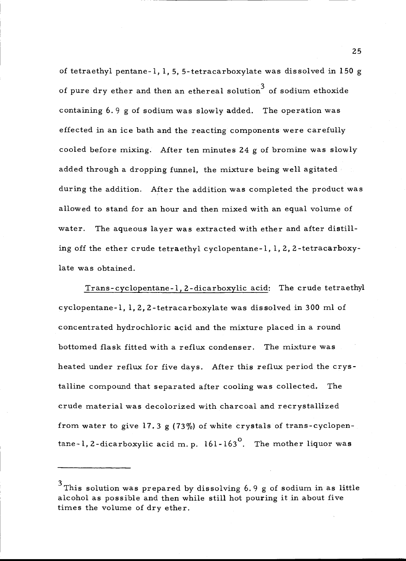of tetraethyl pentane-1, 1, 5, 5-tetracarboxylate was dissolved in 150 g of pure dry ether and then an ethereal solution<sup>3</sup> of sodium ethoxide containing 6. 9 g of sodium was slowly added. The operation was effected in an ice bath and the reacting components were carefully cooled before mixing. After ten minutes 24 g of bromine was slowly added through a dropping funnel, the mixture being well agitated during the addition. After the addition was completed the product was allowed to stand for an hour and then mixed with an equal volume of water. The aqueous layer was extracted with ether and after distilling off the ether crude tetraethyl cyclopentane -1, 1, 2, 2- tetracarboxylate was obtained.

Trans - cyclopentane -1, 2- dicarboxylic acid: The crude tetraethyl cyclopentane -1, 1, 2, 2- tetracarboxylate was dissolved in 300 ml of concentrated hydrochloric acid and the mixture placed in a round bottomed flask fitted with a reflux condenser. The mixture was heated under reflux for five days. After this reflux period the crystalline compound that separated after cooling was collected. The crude material was decolorized with charcoal and recrystallized from water to give 17.3 g  $(73\%)$  of white crystals of trans-cyclopentane-1, 2-dicarboxylic acid m. p.  $161-163^\circ$ . The mother liquor was

 $^3$ This solution was prepared by dissolving 6.9 g of sodium in as little alcohol as possible and then while still hot pouring it in about five times the volume of dry ether.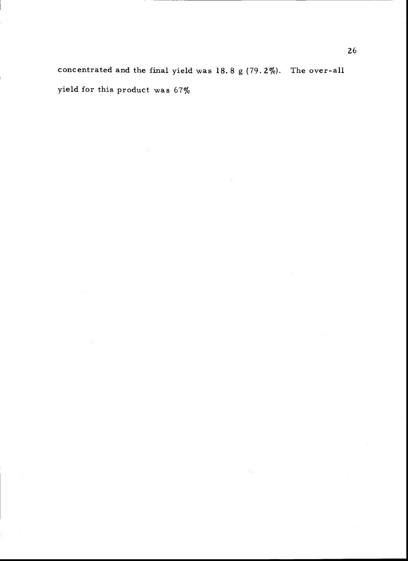concentrated and the final yield was 18.8 g (79.2%). The over-all yield for this product was 67%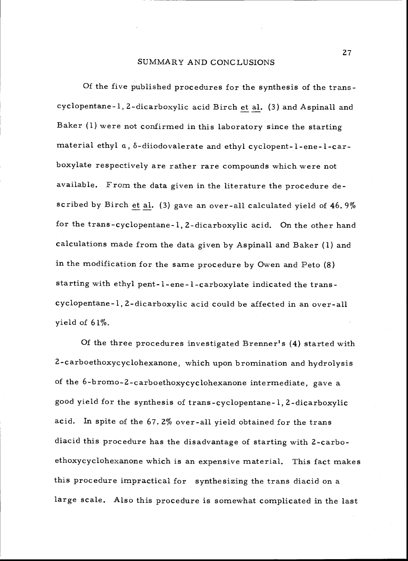#### SUMMARY AND CONCLUSIONS

Of the five published procedures for the synthesis of the trans cyclopentane -1, 2- dicarboxylic acid Birch et al. (3) and Aspinall and Baker (1) were not confirmed in this laboratory since the starting material ethyl a,  $\delta$ -diiodovalerate and ethyl cyclopent-l-ene-l-carboxylate respectively are rather rare compounds which were not available. From the data given in the literature the procedure described by Birch et al. (3) gave an over -all calculated yield of 46.9% for the trans -cyclopentane -1, 2- dicarboxylic acid. On the other hand calculations made from the data given by Aspinall and Baker (1) and in the modification for the same procedure by Owen and Peto (8) starting with ethyl pent- l- ene -l- carboxylate indicated the trans cyclopentane -1, 2- dicarboxylic acid could be affected in an over -all yield of  $61\%$ .

Of the three procedures investigated Brenner's (4) started with 2- carboethoxycyclohexanone, which upon bromination and hydrolysis of the 6-bromo-2-carboethoxycyclohexanone intermediate, gave a good yield for the synthesis of trans - cyclopentane -1, 2- dicarboxylic acid. In spite of the 67. 2% over -all yield obtained for the trans diacid this procedure has the disadvantage of starting with 2-carboethoxycyclohexanone which is an expensive material. This fact makes this procedure impractical for synthesizing the trans diacid on a large scale. Also this procedure is somewhat complicated in the last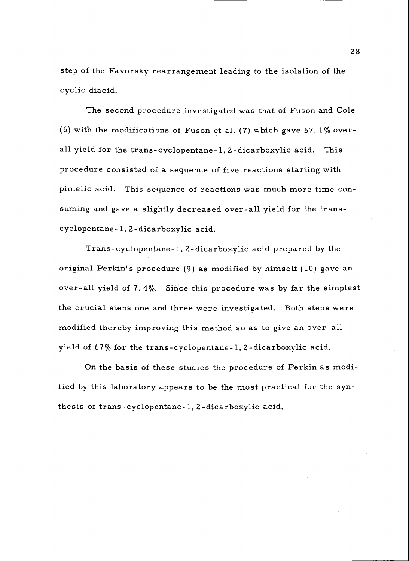step of the Favorsky rearrangement leading to the isolation of the cyclic diacid.

The second procedure investigated was that of Fuson and Cole (6) with the modifications of Fuson et al. (7) which gave 57.  $1\%$  overall yield for the trans-cyclopentane-1, 2-dicarboxylic acid. This procedure consisted of a sequence of five reactions starting with pimelic acid. This sequence of reactions was much more time consuming and gave a slightly decreased over-all yield for the transcyclopentane- 1, 2- dicarboxylic acid.

Trans - cyclopentane -1, 2- dicarboxylic acid prepared by the original Perkin's procedure (9) as modified by himself (10) gave an over -all yield of 7. 4%. Since this procedure was by far the simplest the crucial steps one and three were investigated. Both steps were modified thereby improving this method so as to give an over -all yield of 67% for the trans - cyclopentane -1, 2- dicarboxylic acid.

On the basis of these studies the procedure of Perkin as modified by this laboratory appears to be the most practical for the synthesis of trans - cyclopentane -1, 2- dicarboxylic acid,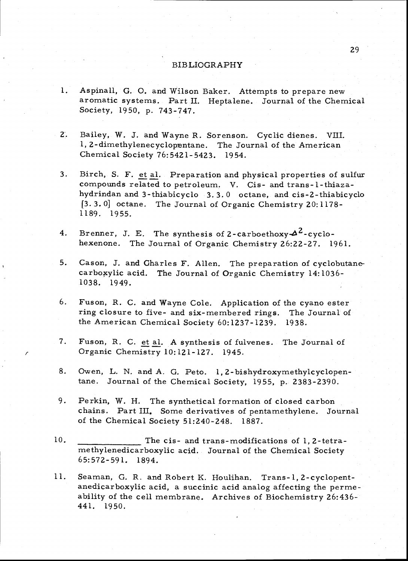### BIBLIOGRAPHY

- . Aspinall, G. O. and Wilson Baker. Attempts to prepare new aromatic systems. Part II. Heptalene. Journal of the Chemical Society, 1950, p. 743 -747.
- 2. Bailey, W. J. and Wayne R. Sorenson. Cyclic dienes. VIII. 1, 2-dimethylenecyclopentane. The Journal of the American Chemical Society 76:5421 -5423. 1954.
- 3. Birch, S. F. et al. Preparation and physical properties of sulfur compounds related to petroleum. V. Cis- and trans-l-thiazahydrindan and 3- thiabicyclo 3. 3. 0 octane, and cis -2- thiabicyclo [3.3.0] octane. The Journal of Organic Chemistry 20:1178- 1189. 1955.
- 4. Brenner, J. E. The synthesis of 2-carboethoxy  $A^2$ -cyclo-<br>hexenone. The Journal of Organic Chemistry 26:22-27. 1961.
- 5. Cason, J. and Charles F. Allen. The preparation of cyclobutane- carboxylic acid. The Journal of Organic Chemistry 14:1036- 1038. 1949.
- 6. Fuson, R. C. and Wayne Cole. Application of the cyano ester ring closure to five- and six- membered rings. The Journal of the American Chemical Society 60:1237 -1239. 1938.
- 7. Fuson, R. C. et al. A synthesis of fulvenes. The Journal of Organic Chemistry 10:121-127. 1945.
- 8. Owen, L. N. and A. G. Peto. 1,2-bishydroxymethylcyclopentane. Journal of the Chemical Society, 1955, p. 2383 -2390.
- 9. Perkin, W. H. The synthetical formation of closed carbon chains. Part III. Some derivatives of pentamethylene. Journal of the Chemical Society 51:240 -248. 1887.
- 10. The cis- and trans modifications of 1, 2- tetramethylenedicarboxylic acid. Journal of the Chemical Society 65:572 -591. 1894.
- 11. Seaman, G. R. and Robert K. Houlihan. Trans-1, 2-cyclopent-<br>anedicarboxylic acid, a succinic acid analog affecting the perme-<br>ability of the cell membrane. Archives of Biochemistry 26:436-441. 1950.